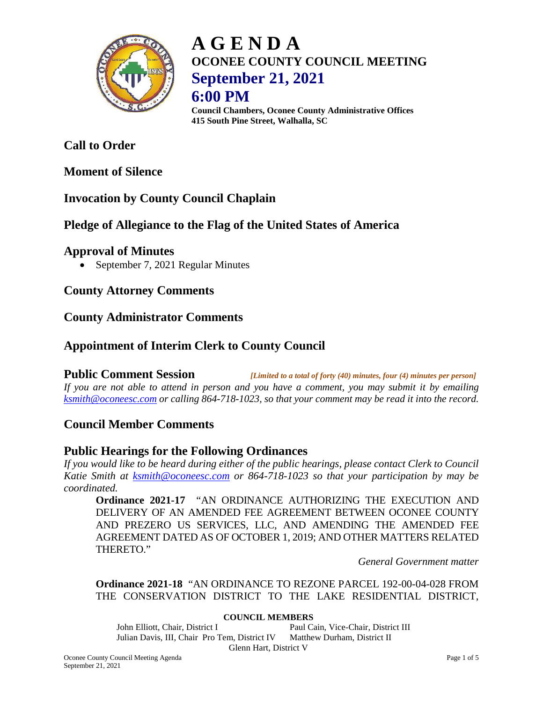

## **A G E N D A OCONEE COUNTY COUNCIL MEETING September 21, 2021 6:00 PM**

**Council Chambers, Oconee County Administrative Offices 415 South Pine Street, Walhalla, SC**

### **Call to Order**

#### **Moment of Silence**

#### **Invocation by County Council Chaplain**

#### **Pledge of Allegiance to the Flag of the United States of America**

#### **Approval of Minutes**

• September 7, 2021 Regular Minutes

**County Attorney Comments**

#### **County Administrator Comments**

#### **Appointment of Interim Clerk to County Council**

**Public Comment Session** *[Limited to a total of forty (40) minutes, four (4) minutes per person] If you are not able to attend in person and you have a comment, you may submit it by emailing [ksmith@oconeesc.com](mailto:ksmith@oconeesc.com) or calling 864-718-1023, so that your comment may be read it into the record.*

#### **Council Member Comments**

#### **Public Hearings for the Following Ordinances**

*If you would like to be heard during either of the public hearings, please contact Clerk to Council Katie Smith at [ksmith@oconeesc.com](mailto:ksmith@oconeesc.com) or 864-718-1023 so that your participation by may be coordinated.*

**Ordinance 2021-17** "AN ORDINANCE AUTHORIZING THE EXECUTION AND DELIVERY OF AN AMENDED FEE AGREEMENT BETWEEN OCONEE COUNTY AND PREZERO US SERVICES, LLC, AND AMENDING THE AMENDED FEE AGREEMENT DATED AS OF OCTOBER 1, 2019; AND OTHER MATTERS RELATED THERETO."

*General Government matter*

**Ordinance 2021-18** "AN ORDINANCE TO REZONE PARCEL 192-00-04-028 FROM THE CONSERVATION DISTRICT TO THE LAKE RESIDENTIAL DISTRICT,

#### **COUNCIL MEMBERS**

John Elliott, Chair, District I Paul Cain, Vice-Chair, District III Julian Davis, III, Chair Pro Tem, District IV Matthew Durham, District II Glenn Hart, District V

Oconee County Council Meeting Agenda Page 1 of 5 September 21, 2021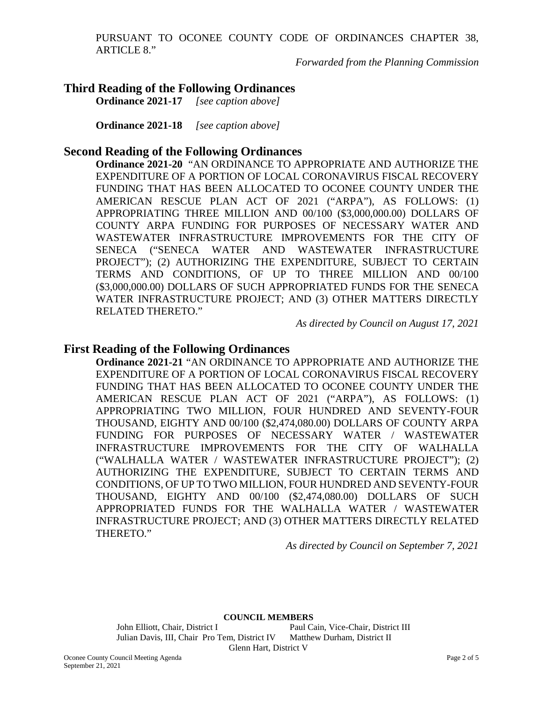PURSUANT TO OCONEE COUNTY CODE OF ORDINANCES CHAPTER 38, ARTICLE 8."

*Forwarded from the Planning Commission*

# **Third Reading of the Following Ordinances**<br>Ordinance 2021-17 *[see caption above]*

**Ordinance 2021-17** *[see caption above]*

**Ordinance 2021-18** *[see caption above]*

#### **Second Reading of the Following Ordinances**

**Ordinance 2021-20** "AN ORDINANCE TO APPROPRIATE AND AUTHORIZE THE EXPENDITURE OF A PORTION OF LOCAL CORONAVIRUS FISCAL RECOVERY FUNDING THAT HAS BEEN ALLOCATED TO OCONEE COUNTY UNDER THE AMERICAN RESCUE PLAN ACT OF 2021 ("ARPA"), AS FOLLOWS: (1) APPROPRIATING THREE MILLION AND 00/100 (\$3,000,000.00) DOLLARS OF COUNTY ARPA FUNDING FOR PURPOSES OF NECESSARY WATER AND WASTEWATER INFRASTRUCTURE IMPROVEMENTS FOR THE CITY OF SENECA ("SENECA WATER AND WASTEWATER INFRASTRUCTURE PROJECT"); (2) AUTHORIZING THE EXPENDITURE, SUBJECT TO CERTAIN TERMS AND CONDITIONS, OF UP TO THREE MILLION AND 00/100 (\$3,000,000.00) DOLLARS OF SUCH APPROPRIATED FUNDS FOR THE SENECA WATER INFRASTRUCTURE PROJECT; AND (3) OTHER MATTERS DIRECTLY RELATED THERETO."

*As directed by Council on August 17, 2021*

#### **First Reading of the Following Ordinances**

**Ordinance 2021-21** "AN ORDINANCE TO APPROPRIATE AND AUTHORIZE THE EXPENDITURE OF A PORTION OF LOCAL CORONAVIRUS FISCAL RECOVERY FUNDING THAT HAS BEEN ALLOCATED TO OCONEE COUNTY UNDER THE AMERICAN RESCUE PLAN ACT OF 2021 ("ARPA"), AS FOLLOWS: (1) APPROPRIATING TWO MILLION, FOUR HUNDRED AND SEVENTY-FOUR THOUSAND, EIGHTY AND 00/100 (\$2,474,080.00) DOLLARS OF COUNTY ARPA FUNDING FOR PURPOSES OF NECESSARY WATER / WASTEWATER INFRASTRUCTURE IMPROVEMENTS FOR THE CITY OF WALHALLA ("WALHALLA WATER / WASTEWATER INFRASTRUCTURE PROJECT"); (2) AUTHORIZING THE EXPENDITURE, SUBJECT TO CERTAIN TERMS AND CONDITIONS, OF UP TO TWO MILLION, FOUR HUNDRED AND SEVENTY-FOUR THOUSAND, EIGHTY AND 00/100 (\$2,474,080.00) DOLLARS OF SUCH APPROPRIATED FUNDS FOR THE WALHALLA WATER / WASTEWATER INFRASTRUCTURE PROJECT; AND (3) OTHER MATTERS DIRECTLY RELATED THERETO."

*As directed by Council on September 7, 2021*

**COUNCIL MEMBERS**

John Elliott, Chair, District I Paul Cain, Vice-Chair, District III Julian Davis, III, Chair Pro Tem, District IV Matthew Durham, District II Glenn Hart, District V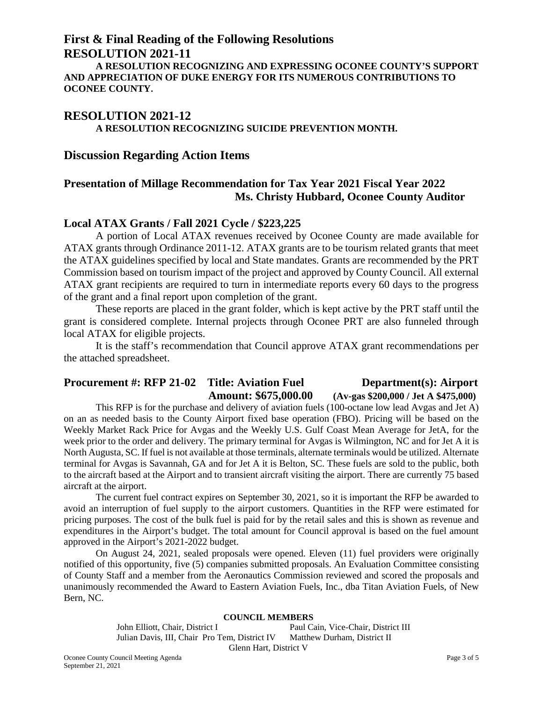# **First & Final Reading of the Following Resolutions**

**RESOLUTION 2021-11 A RESOLUTION RECOGNIZING AND EXPRESSING OCONEE COUNTY'S SUPPORT AND APPRECIATION OF DUKE ENERGY FOR ITS NUMEROUS CONTRIBUTIONS TO OCONEE COUNTY.**

#### **RESOLUTION 2021-12 A RESOLUTION RECOGNIZING SUICIDE PREVENTION MONTH.**

#### **Discussion Regarding Action Items**

#### **Presentation of Millage Recommendation for Tax Year 2021 Fiscal Year 2022 Ms. Christy Hubbard, Oconee County Auditor**

#### **Local ATAX Grants / Fall 2021 Cycle / \$223,225**

A portion of Local ATAX revenues received by Oconee County are made available for ATAX grants through Ordinance 2011-12. ATAX grants are to be tourism related grants that meet the ATAX guidelines specified by local and State mandates. Grants are recommended by the PRT Commission based on tourism impact of the project and approved by County Council. All external ATAX grant recipients are required to turn in intermediate reports every 60 days to the progress of the grant and a final report upon completion of the grant.

These reports are placed in the grant folder, which is kept active by the PRT staff until the grant is considered complete. Internal projects through Oconee PRT are also funneled through local ATAX for eligible projects.

It is the staff's recommendation that Council approve ATAX grant recommendations per the attached spreadsheet.

#### **Procurement #: RFP 21-02 Title: Aviation Fuel Department(s): Airport Amount: \$675,000.00 (Av-gas \$200,000 / Jet A \$475,000)**

This RFP is for the purchase and delivery of aviation fuels (100-octane low lead Avgas and Jet A) on an as needed basis to the County Airport fixed base operation (FBO). Pricing will be based on the Weekly Market Rack Price for Avgas and the Weekly U.S. Gulf Coast Mean Average for JetA, for the week prior to the order and delivery. The primary terminal for Avgas is Wilmington, NC and for Jet A it is North Augusta, SC. If fuel is not available at those terminals, alternate terminals would be utilized. Alternate terminal for Avgas is Savannah, GA and for Jet A it is Belton, SC. These fuels are sold to the public, both to the aircraft based at the Airport and to transient aircraft visiting the airport. There are currently 75 based aircraft at the airport.

The current fuel contract expires on September 30, 2021, so it is important the RFP be awarded to avoid an interruption of fuel supply to the airport customers. Quantities in the RFP were estimated for pricing purposes. The cost of the bulk fuel is paid for by the retail sales and this is shown as revenue and expenditures in the Airport's budget. The total amount for Council approval is based on the fuel amount approved in the Airport's 2021-2022 budget.

On August 24, 2021, sealed proposals were opened. Eleven (11) fuel providers were originally notified of this opportunity, five (5) companies submitted proposals. An Evaluation Committee consisting of County Staff and a member from the Aeronautics Commission reviewed and scored the proposals and unanimously recommended the Award to Eastern Aviation Fuels, Inc., dba Titan Aviation Fuels, of New Bern, NC.

#### **COUNCIL MEMBERS**

John Elliott, Chair, District I Paul Cain, Vice-Chair, District III Julian Davis, III, Chair Pro Tem, District IV Matthew Durham, District II Glenn Hart, District V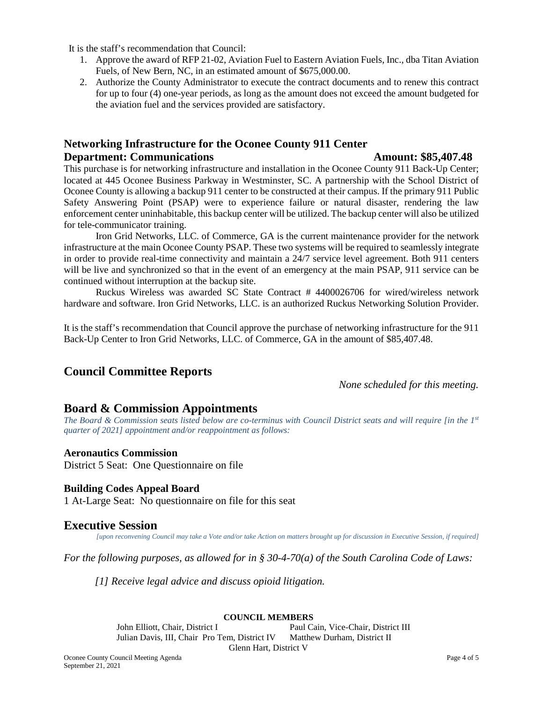It is the staff's recommendation that Council:

- 1. Approve the award of RFP 21-02, Aviation Fuel to Eastern Aviation Fuels, Inc., dba Titan Aviation Fuels, of New Bern, NC, in an estimated amount of \$675,000.00.
- 2. Authorize the County Administrator to execute the contract documents and to renew this contract for up to four (4) one-year periods, as long as the amount does not exceed the amount budgeted for the aviation fuel and the services provided are satisfactory.

#### **Networking Infrastructure for the Oconee County 911 Center Department: Communications Amount: \$85,407.48**

This purchase is for networking infrastructure and installation in the Oconee County 911 Back-Up Center; located at 445 Oconee Business Parkway in Westminster, SC. A partnership with the School District of Oconee County is allowing a backup 911 center to be constructed at their campus. If the primary 911 Public Safety Answering Point (PSAP) were to experience failure or natural disaster, rendering the law enforcement center uninhabitable, this backup center will be utilized. The backup center will also be utilized for tele-communicator training.

Iron Grid Networks, LLC. of Commerce, GA is the current maintenance provider for the network infrastructure at the main Oconee County PSAP. These two systems will be required to seamlessly integrate in order to provide real-time connectivity and maintain a 24/7 service level agreement. Both 911 centers will be live and synchronized so that in the event of an emergency at the main PSAP, 911 service can be continued without interruption at the backup site.

Ruckus Wireless was awarded SC State Contract # 4400026706 for wired/wireless network hardware and software. Iron Grid Networks, LLC. is an authorized Ruckus Networking Solution Provider.

It is the staff's recommendation that Council approve the purchase of networking infrastructure for the 911 Back-Up Center to Iron Grid Networks, LLC. of Commerce, GA in the amount of \$85,407.48.

#### **Council Committee Reports**

*None scheduled for this meeting.*

#### **Board & Commission Appointments**

*The Board & Commission seats listed below are co-terminus with Council District seats and will require [in the 1st quarter of 2021] appointment and/or reappointment as follows:*

#### **Aeronautics Commission**

District 5 Seat: One Questionnaire on file

#### **Building Codes Appeal Board**

1 At-Large Seat: No questionnaire on file for this seat

#### **Executive Session**

*[upon reconvening Council may take a Vote and/or take Action on matters brought up for discussion in Executive Session, if required]*

*For the following purposes, as allowed for in § 30-4-70(a) of the South Carolina Code of Laws:*

*[1] Receive legal advice and discuss opioid litigation.*

#### **COUNCIL MEMBERS**

John Elliott, Chair, District I Paul Cain, Vice-Chair, District III Julian Davis, III, Chair Pro Tem, District IV Matthew Durham, District II Glenn Hart, District V